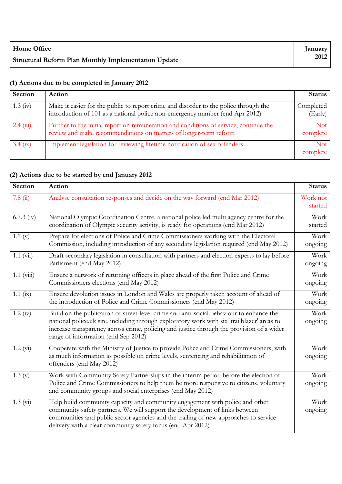| <b>Home Office</b>                                          | <b>Lanuary</b> |
|-------------------------------------------------------------|----------------|
| <b>Structural Reform Plan Monthly Implementation Update</b> | 2012           |

## **(1) Actions due to be completed in January 2012**

| Section            | Action                                                                                                                                                               | <b>Status</b>        |
|--------------------|----------------------------------------------------------------------------------------------------------------------------------------------------------------------|----------------------|
| $1.3 \text{ (iv)}$ | Make it easier for the public to report crime and disorder to the police through the<br>introduction of 101 as a national police non-emergency number (end Apr 2012) | Completed<br>(Early) |
| $2.4 \ (iii)$      | Further to the initial report on remuneration and conditions of service, continue the<br>review and make recommendations on matters of longer-term reform            | Not<br>complete      |
| $3.4$ (ix)         | Implement legislation for reviewing lifetime notification of sex offenders                                                                                           | Not<br>complete      |

## **(2) Actions due to be started by end January 2012**

| <b>Section</b>       | Action                                                                                                                                                                                                                                                                                                                     | <b>Status</b>       |
|----------------------|----------------------------------------------------------------------------------------------------------------------------------------------------------------------------------------------------------------------------------------------------------------------------------------------------------------------------|---------------------|
| 7.8(i)               | Analyse consultation responses and decide on the way forward (end Mar 2012)                                                                                                                                                                                                                                                | Work not<br>started |
| $6.7.3$ (iv)         | National Olympic Coordination Centre, a national police led multi agency centre for the<br>coordination of Olympic security activity, is ready for operations (end Mar 2012)                                                                                                                                               | Work<br>started     |
| 1.1(x)               | Prepare for elections of Police and Crime Commissioners working with the Electoral<br>Commission, including introduction of any secondary legislation required (end May 2012)                                                                                                                                              |                     |
| $1.1 \text{ (vii)}$  | Draft secondary legislation in consultation with partners and election experts to lay before<br>Parliament (end May 2012)                                                                                                                                                                                                  | Work<br>ongoing     |
| $1.1 \text{ (viii)}$ | Ensure a network of returning officers in place ahead of the first Police and Crime<br>Commissioners elections (end May 2012)                                                                                                                                                                                              |                     |
| 1.1 $(ix)$           | Ensure devolution issues in London and Wales are properly taken account of ahead of<br>the introduction of Police and Crime Commissioners (end May 2012)                                                                                                                                                                   |                     |
| $1.2 \text{ (iv)}$   | Build on the publication of street-level crime and anti-social behaviour to enhance the<br>national police.uk site, including through exploratory work with six 'trailblazer' areas to<br>increase transparency across crime, policing and justice through the provision of a wider<br>range of information (end Sep 2012) | Work<br>ongoing     |
| 1.2 (vi)             | Cooperate with the Ministry of Justice to provide Police and Crime Commissioners, with<br>as much information as possible on crime levels, sentencing and rehabilitation of<br>offenders (end May 2012)                                                                                                                    | Work<br>ongoing     |
| 1.3(y)               | Work with Community Safety Partnerships in the interim period before the election of<br>Police and Crime Commissioners to help them be more responsive to citizens, voluntary<br>and community groups and social enterprises (end May 2012)                                                                                | Work<br>ongoing     |
| $1.3 \text{ (vi)}$   | Help build community capacity and community engagement with police and other<br>community safety partners. We will support the development of links between<br>communities and public sector agencies and the trailing of new approaches to service<br>delivery with a clear community safety focus (end Apr 2012)         | Work<br>ongoing     |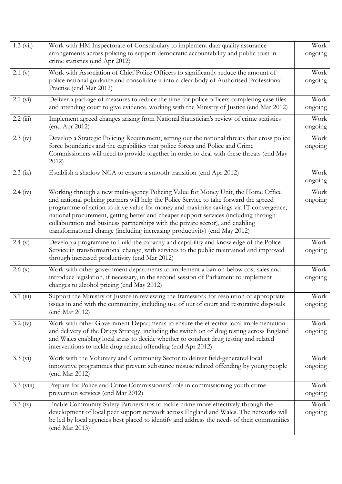| $1.3 \ (vii)$        | Work with HM Inspectorate of Constabulary to implement data quality assurance                                                                                                                                                                                                                                                                                                                                                           | Work            |
|----------------------|-----------------------------------------------------------------------------------------------------------------------------------------------------------------------------------------------------------------------------------------------------------------------------------------------------------------------------------------------------------------------------------------------------------------------------------------|-----------------|
|                      | arrangements across policing to support democratic accountability and public trust in<br>crime statistics (end Apr 2012)                                                                                                                                                                                                                                                                                                                | ongoing         |
| 2.1 (v)              | Work with Association of Chief Police Officers to significantly reduce the amount of                                                                                                                                                                                                                                                                                                                                                    | Work            |
|                      | police national guidance and consolidate it into a clear body of Authorised Professional<br>Practise (end Mar 2012)                                                                                                                                                                                                                                                                                                                     | ongoing         |
| $2.1$ (vi)           | Deliver a package of measures to reduce the time for police officers completing case files<br>and attending court to give evidence, working with the Ministry of Justice (end Mar 2012)                                                                                                                                                                                                                                                 | Work<br>ongoing |
| 2.2(iii)             | Implement agreed changes arising from National Statistician's review of crime statistics<br>(end Apr 2012)                                                                                                                                                                                                                                                                                                                              | Work<br>ongoing |
| $2.3 \text{ (iv)}$   | Develop a Strategic Policing Requirement, setting out the national threats that cross police                                                                                                                                                                                                                                                                                                                                            | Work            |
|                      | force boundaries and the capabilities that police forces and Police and Crime<br>Commissioners will need to provide together in order to deal with these threats (end May<br>2012                                                                                                                                                                                                                                                       | ongoing         |
| $2.3$ (ix)           | Establish a shadow NCA to ensure a smooth transition (end Apr 2012)                                                                                                                                                                                                                                                                                                                                                                     | Work<br>ongoing |
| $2.4 \text{ (iv)}$   | Working through a new multi-agency Policing Value for Money Unit, the Home Office                                                                                                                                                                                                                                                                                                                                                       | Work            |
|                      | and national policing partners will help the Police Service to take forward the agreed<br>programme of action to drive value for money and maximise savings via IT convergence,<br>national procurement, getting better and cheaper support services (including through<br>collaboration and business partnerships with the private sector), and enabling<br>transformational change (including increasing productivity) (end May 2012) | ongoing         |
| 2.4(y)               | Develop a programme to build the capacity and capability and knowledge of the Police<br>Service in transformational change, with services to the public maintained and improved<br>through increased productivity (end Mar 2012)                                                                                                                                                                                                        | Work<br>ongoing |
| 2.6(x)               | Work with other government departments to implement a ban on below cost sales and                                                                                                                                                                                                                                                                                                                                                       | Work            |
|                      | introduce legislation, if necessary, in the second session of Parliament to implement<br>changes to alcohol pricing (end May 2012)                                                                                                                                                                                                                                                                                                      | ongoing         |
| $3.1$ (iii)          | Support the Ministry of Justice in reviewing the framework for resolution of appropriate<br>issues in and with the community, including use of out of court and restorative disposals<br>(end Mar 2012)                                                                                                                                                                                                                                 | Work<br>ongoing |
| $3.2 \text{ (iv)}$   | Work with other Government Departments to ensure the effective local implementation<br>and delivery of the Drugs Strategy, including the switch on of drug testing across England<br>and Wales enabling local areas to decide whether to conduct drug testing and related<br>interventions to tackle drug related offending (end Apr 2012)                                                                                              | Work<br>ongoing |
| $3.3 \ (vi)$         | Work with the Voluntary and Community Sector to deliver field-generated local<br>innovative programmes that prevent substance misuse related offending by young people<br>(end Mar 2012)                                                                                                                                                                                                                                                | Work<br>ongoing |
| $3.3 \text{ (viii)}$ | Prepare for Police and Crime Commissioners' role in commissioning youth crime<br>prevention services (end Mar 2012)                                                                                                                                                                                                                                                                                                                     | Work<br>ongoing |
| $3.3 \text{ (ix)}$   | Enable Community Safety Partnerships to tackle crime more effectively through the<br>development of local peer support network across England and Wales. The networks will<br>be led by local agencies best placed to identify and address the needs of their communities<br>(end Mar 2013)                                                                                                                                             | Work<br>ongoing |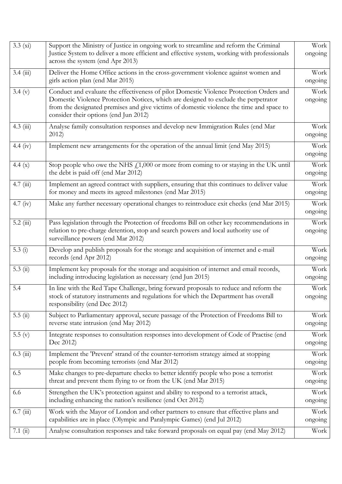| $3.3 \text{ (xi)}$ | Support the Ministry of Justice in ongoing work to streamline and reform the Criminal<br>Justice System to deliver a more efficient and effective system, working with professionals<br>across the system (end Apr 2013)                                                                                            |                 |  |
|--------------------|---------------------------------------------------------------------------------------------------------------------------------------------------------------------------------------------------------------------------------------------------------------------------------------------------------------------|-----------------|--|
| 3.4(iii)           | Deliver the Home Office actions in the cross-government violence against women and<br>girls action plan (end Mar 2015)                                                                                                                                                                                              | Work<br>ongoing |  |
| 3.4 (v)            | Conduct and evaluate the effectiveness of pilot Domestic Violence Protection Orders and<br>Domestic Violence Protection Notices, which are designed to exclude the perpetrator<br>from the designated premises and give victims of domestic violence the time and space to<br>consider their options (end Jun 2012) | Work<br>ongoing |  |
| $4.3$ (iii)        | Analyse family consultation responses and develop new Immigration Rules (end Mar<br>2012                                                                                                                                                                                                                            | Work<br>ongoing |  |
| 4.4 (iv)           | Implement new arrangements for the operation of the annual limit (end May 2015)                                                                                                                                                                                                                                     | Work<br>ongoing |  |
| 4.4 $(x)$          | Stop people who owe the NHS $f11,000$ or more from coming to or staying in the UK until<br>the debt is paid off (end Mar 2012)                                                                                                                                                                                      | Work<br>ongoing |  |
| 4.7(iii)           | Implement an agreed contract with suppliers, ensuring that this continues to deliver value<br>for money and meets its agreed milestones (end Mar 2015)                                                                                                                                                              | Work<br>ongoing |  |
| 4.7 $(iv)$         | Make any further necessary operational changes to reintroduce exit checks (end Mar 2015)                                                                                                                                                                                                                            | Work<br>ongoing |  |
| $5.2$ (iii)        | Pass legislation through the Protection of freedoms Bill on other key recommendations in<br>relation to pre-charge detention, stop and search powers and local authority use of<br>surveillance powers (end Mar 2012)                                                                                               | Work<br>ongoing |  |
| 5.3(i)             | Develop and publish proposals for the storage and acquisition of internet and e-mail<br>records (end Apr 2012)                                                                                                                                                                                                      | Work<br>ongoing |  |
| 5.3(i)             | Implement key proposals for the storage and acquisition of internet and email records,<br>including introducing legislation as necessary (end Jun 2015)                                                                                                                                                             | Work<br>ongoing |  |
| 5.4                | In line with the Red Tape Challenge, bring forward proposals to reduce and reform the<br>stock of statutory instruments and regulations for which the Department has overall<br>responsibility (end Dec 2012)                                                                                                       | Work<br>ongoing |  |
| 5.5(i)             | Subject to Parliamentary approval, secure passage of the Protection of Freedoms Bill to<br>reverse state intrusion (end May 2012)                                                                                                                                                                                   | Work<br>ongoing |  |
| 5.5(y)             | Integrate responses to consultation responses into development of Code of Practise (end<br>Dec 2012)                                                                                                                                                                                                                | Work<br>ongoing |  |
| $6.3 \ (iii)$      | Implement the 'Prevent' strand of the counter-terrorism strategy aimed at stopping<br>people from becoming terrorists (end Mar 2012)                                                                                                                                                                                | Work<br>ongoing |  |
| 6.5                | Make changes to pre-departure checks to better identify people who pose a terrorist<br>threat and prevent them flying to or from the UK (end Mar 2015)                                                                                                                                                              | Work<br>ongoing |  |
| 6.6                | Strengthen the UK's protection against and ability to respond to a terrorist attack,<br>including enhancing the nation's resilience (end Oct 2012)                                                                                                                                                                  | Work<br>ongoing |  |
| 6.7(iii)           | Work with the Mayor of London and other partners to ensure that effective plans and<br>capabilities are in place (Olympic and Paralympic Games) (end Jul 2012)                                                                                                                                                      | Work<br>ongoing |  |
| 7.1 $(ii)$         | Analyse consultation responses and take forward proposals on equal pay (end May 2012)                                                                                                                                                                                                                               | Work            |  |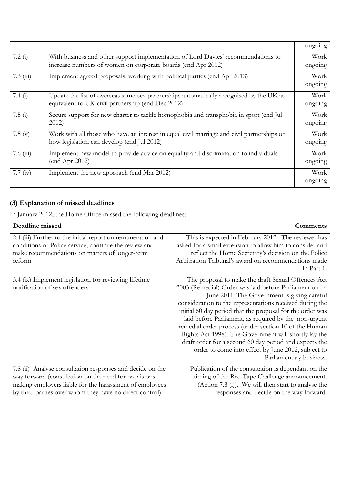|               |                                                                                            | ongoing |
|---------------|--------------------------------------------------------------------------------------------|---------|
| 7.2 $(i)$     | With business and other support implementation of Lord Davies' recommendations to          | Work    |
|               | increase numbers of women on corporate boards (end Apr 2012)                               | ongoing |
| $7.3 \ (iii)$ | Implement agreed proposals, working with political parties (end Apr 2013)                  | Work    |
|               |                                                                                            | ongoing |
| 7.4 $(i)$     | Update the list of overseas same-sex partnerships automatically recognised by the UK as    | Work    |
|               | equivalent to UK civil partnership (end Dec 2012)                                          | ongoing |
| 7.5(i)        | Secure support for new charter to tackle homophobia and transphobia in sport (end Jul      | Work    |
|               | 2012                                                                                       | ongoing |
| 7.5 $(v)$     | Work with all those who have an interest in equal civil marriage and civil partnerships on | Work    |
|               | how legislation can develop (end Jul 2012)                                                 | ongoing |
| 7.6(iii)      | Implement new model to provide advice on equality and discrimination to individuals        | Work    |
|               | (end Apr 2012)                                                                             | ongoing |
| 7.7 $(iv)$    | Implement the new approach (end Mar 2012)                                                  | Work    |
|               |                                                                                            | ongoing |

## **(3) Explanation of missed deadlines**

In January 2012, the Home Office missed the following deadlines:

| Deadline missed                                                                                                                                                                                                                         | <b>Comments</b>                                                                                                                                                                                                                                                                                                                                                                                                                                                                                                                                                                                            |
|-----------------------------------------------------------------------------------------------------------------------------------------------------------------------------------------------------------------------------------------|------------------------------------------------------------------------------------------------------------------------------------------------------------------------------------------------------------------------------------------------------------------------------------------------------------------------------------------------------------------------------------------------------------------------------------------------------------------------------------------------------------------------------------------------------------------------------------------------------------|
| 2.4 (iii) Further to the initial report on remuneration and<br>conditions of Police service, continue the review and<br>make recommendations on matters of longer-term<br>reform                                                        | This is expected in February 2012. The reviewer has<br>asked for a small extension to allow him to consider and<br>reflect the Home Secretary's decision on the Police<br>Arbitration Tribunal's award on recommendations made<br>in Part 1.                                                                                                                                                                                                                                                                                                                                                               |
| 3.4 (ix) Implement legislation for reviewing lifetime<br>notification of sex offenders                                                                                                                                                  | The proposal to make the draft Sexual Offences Act<br>2003 (Remedial) Order was laid before Parliament on 14<br>June 2011. The Government is giving careful<br>consideration to the representations received during the<br>initial 60 day period that the proposal for the order was<br>laid before Parliament, as required by the non-urgent<br>remedial order process (under section 10 of the Human<br>Rights Act 1998). The Government will shortly lay the<br>draft order for a second 60 day period and expects the<br>order to come into effect by June 2012, subject to<br>Parliamentary business. |
| 7.8 (ii) Analyse consultation responses and decide on the<br>way forward (consultation on the need for provisions<br>making employers liable for the harassment of employees<br>by third parties over whom they have no direct control) | Publication of the consultation is dependant on the<br>timing of the Red Tape Challenge announcement.<br>(Action 7.8 (i)). We will then start to analyse the<br>responses and decide on the way forward.                                                                                                                                                                                                                                                                                                                                                                                                   |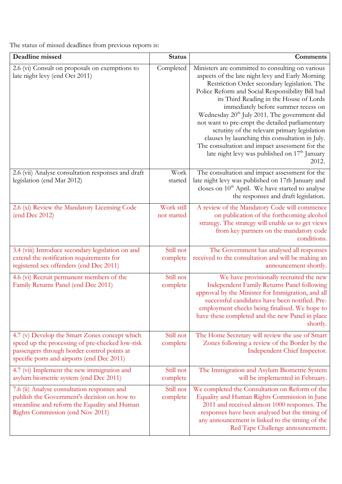The status of missed deadlines from previous reports is:

| Deadline missed                                                                                                                                                                               | <b>Status</b>             | Comments                                                                                                                                                                                                                                                                                                                                                                                                                                                                                                                                                                                                                             |
|-----------------------------------------------------------------------------------------------------------------------------------------------------------------------------------------------|---------------------------|--------------------------------------------------------------------------------------------------------------------------------------------------------------------------------------------------------------------------------------------------------------------------------------------------------------------------------------------------------------------------------------------------------------------------------------------------------------------------------------------------------------------------------------------------------------------------------------------------------------------------------------|
| 2.6 (vi) Consult on proposals on exemptions to<br>late night levy (end Oct 2011)                                                                                                              | Completed                 | Ministers are committed to consulting on various<br>aspects of the late night levy and Early Morning<br>Restriction Order secondary legislation. The<br>Police Reform and Social Responsibility Bill had<br>its Third Reading in the House of Lords<br>immediately before summer recess on<br>Wednesday 20 <sup>th</sup> July 2011. The government did<br>not want to pre-empt the detailed parliamentary<br>scrutiny of the relevant primary legislation<br>clauses by launching this consultation in July.<br>The consultation and impact assessment for the<br>late night levy was published on 17 <sup>th</sup> January<br>2012. |
| 2.6 (vii) Analyse consultation responses and draft<br>legislation (end Mar 2012)                                                                                                              | Work<br>started           | The consultation and impact assessment for the<br>late night levy was published on 17th January and<br>closes on 10 <sup>th</sup> April. We have started to analyse<br>the responses and draft legislation.                                                                                                                                                                                                                                                                                                                                                                                                                          |
| 2.6 (xi) Review the Mandatory Licensing Code<br>(end Dec 2012)                                                                                                                                | Work still<br>not started | A review of the Mandatory Code will commence<br>on publication of the forthcoming alcohol<br>strategy. The strategy will enable us to get views<br>from key partners on the mandatory code<br>conditions.                                                                                                                                                                                                                                                                                                                                                                                                                            |
| 3.4 (viii) Introduce secondary legislation on and<br>extend the notification requirements for<br>registered sex offenders (end Dec 2011)                                                      | Still not<br>complete     | The Government has analysed all responses<br>received to the consultation and will be making an<br>announcement shortly.                                                                                                                                                                                                                                                                                                                                                                                                                                                                                                             |
| 4.6 (vi) Recruit permanent members of the<br>Family Returns Panel (end Dec 2011)                                                                                                              | Still not<br>complete     | We have provisionally recruited the new<br>Independent Family Returns Panel following<br>approval by the Minister for Immigration, and all<br>successful candidates have been notified. Pre-<br>employment checks being finalised. We hope to<br>have these completed and the new Panel in place<br>shortly.                                                                                                                                                                                                                                                                                                                         |
| 4.7 (v) Develop the Smart Zones concept which<br>speed up the processing of pre-checked low-risk<br>passengers through border control points at<br>specific ports and airports (end Dec 2011) | Still not<br>complete     | The Home Secretary will review the use of Smart<br>Zones following a review of the Border by the<br>Independent Chief Inspector.                                                                                                                                                                                                                                                                                                                                                                                                                                                                                                     |
| 4.7 (vi) Implement the new immigration and<br>asylum biometric system (end Dec 2011)                                                                                                          | Still not<br>complete     | The Immigration and Asylum Biometric System<br>will be implemented in February.                                                                                                                                                                                                                                                                                                                                                                                                                                                                                                                                                      |
| 7.6 (ii) Analyse consultation responses and<br>publish the Government's decision on how to<br>streamline and reform the Equality and Human<br>Rights Commission (end Nov 2011)                | Still not<br>complete     | We completed the Consultation on Reform of the<br>Equality and Human Rights Commission in June<br>2011 and received almost 1000 responses. The<br>responses have been analysed but the timing of<br>any announcement is linked to the timing of the<br>Red Tape Challenge announcement.                                                                                                                                                                                                                                                                                                                                              |